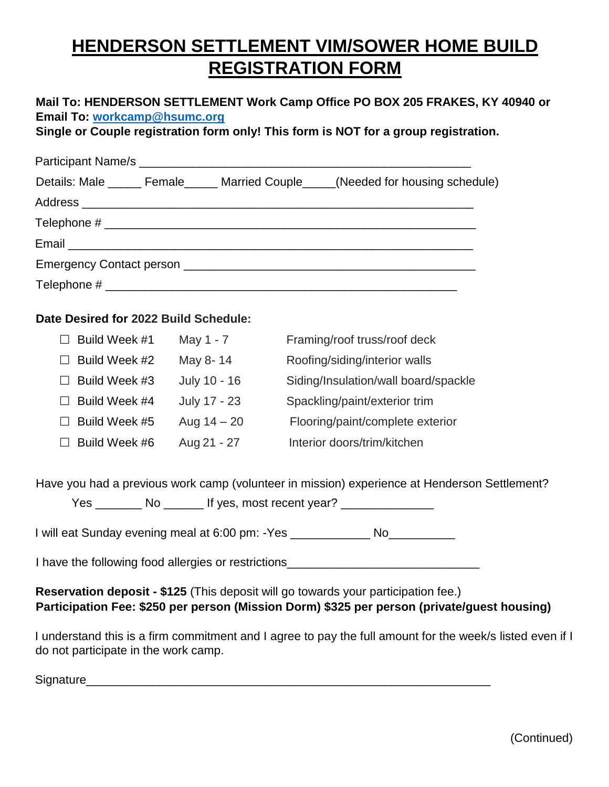## **HENDERSON SETTLEMENT VIM/SOWER HOME BUILD REGISTRATION FORM**

| Mail To: HENDERSON SETTLEMENT Work Camp Office PO BOX 205 FRAKES, KY 40940 or |  |
|-------------------------------------------------------------------------------|--|
| Email To: workcamp@hsumc.org                                                  |  |

**Single or Couple registration form only! This form is NOT for a group registration.**

|                                                                                                                                                                                                                                | Details: Male ______ Female______ Married Couple_____(Needed for housing schedule) |
|--------------------------------------------------------------------------------------------------------------------------------------------------------------------------------------------------------------------------------|------------------------------------------------------------------------------------|
|                                                                                                                                                                                                                                |                                                                                    |
|                                                                                                                                                                                                                                |                                                                                    |
|                                                                                                                                                                                                                                |                                                                                    |
| Emergency Contact person experience and the contract of the contract of the contract of the contract of the contract of the contract of the contract of the contract of the contract of the contract of the contract of the co |                                                                                    |
|                                                                                                                                                                                                                                |                                                                                    |

## **Date Desired for 2022 Build Schedule:**

|        | Build Week #1 | May 1 - 7     | Framing/roof truss/roof deck         |
|--------|---------------|---------------|--------------------------------------|
|        | Build Week #2 | May 8-14      | Roofing/siding/interior walls        |
| $\Box$ | Build Week #3 | July 10 - 16  | Siding/Insulation/wall board/spackle |
|        | Build Week #4 | July 17 - 23  | Spackling/paint/exterior trim        |
|        | Build Week #5 | Aug $14 - 20$ | Flooring/paint/complete exterior     |
|        | Build Week #6 | Aug 21 - 27   | Interior doors/trim/kitchen          |

Have you had a previous work camp (volunteer in mission) experience at Henderson Settlement?

|  |  | If yes, most recent year? |
|--|--|---------------------------|
|--|--|---------------------------|

I will eat Sunday evening meal at 6:00 pm: -Yes \_\_\_\_\_\_\_\_\_\_\_\_\_\_ No\_\_\_\_\_\_\_\_\_\_\_\_\_\_\_

I have the following food allergies or restrictions\_\_\_\_\_\_\_\_\_\_\_\_\_\_\_\_\_\_\_\_\_\_\_\_\_\_\_\_\_

**Reservation deposit - \$125** (This deposit will go towards your participation fee.) **Participation Fee: \$250 per person (Mission Dorm) \$325 per person (private/guest housing)**

I understand this is a firm commitment and I agree to pay the full amount for the week/s listed even if I do not participate in the work camp.

Signature **Signature** and the set of the set of the set of the set of the set of the set of the set of the set of the set of the set of the set of the set of the set of the set of the set of the set of the set of the set o

(Continued)